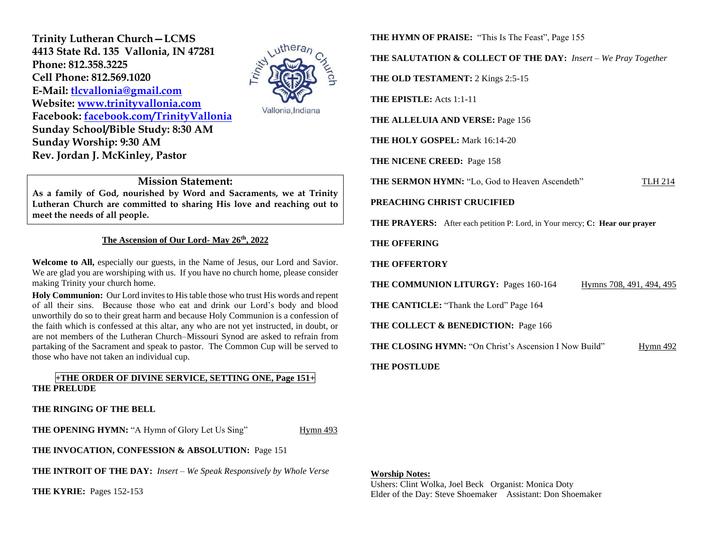**Trinity Lutheran Church—LCMS 4413 State Rd. 135 Vallonia, IN 47281 Phone: 812.358.3225 Cell Phone: 812.569.1020 E-Mail: [tlcvallonia@gmail.com](mailto:tlcvallonia@gmail.com) Website: [www.trinityvallonia.com](http://www.trinityvallonia.com/) Facebook: [facebook.com/TrinityVallonia](http://facebook.com/TrinityVallonia)  Sunday School/Bible Study: 8:30 AM Sunday Worship: 9:30 AM Rev. Jordan J. McKinley, Pastor**



Vallonia, Indiana

## **Mission Statement:**

**As a family of God, nourished by Word and Sacraments, we at Trinity Lutheran Church are committed to sharing His love and reaching out to meet the needs of all people.**

### **The Ascension of Our Lord- May 26th, 2022**

**Welcome to All,** especially our guests, in the Name of Jesus, our Lord and Savior. We are glad you are worshiping with us. If you have no church home, please consider making Trinity your church home.

**Holy Communion:** Our Lord invites to His table those who trust His words and repent of all their sins. Because those who eat and drink our Lord's body and blood unworthily do so to their great harm and because Holy Communion is a confession of the faith which is confessed at this altar, any who are not yet instructed, in doubt, or are not members of the Lutheran Church–Missouri Synod are asked to refrain from partaking of the Sacrament and speak to pastor. The Common Cup will be served to those who have not taken an individual cup.

## **+THE ORDER OF DIVINE SERVICE, SETTING ONE, Page 151+ THE PRELUDE**

**THE RINGING OF THE BELL**

**THE OPENING HYMN:** "A Hymn of Glory Let Us Sing" Hymn 493

**THE INVOCATION, CONFESSION & ABSOLUTION:** Page 151

**THE INTROIT OF THE DAY:** *Insert – We Speak Responsively by Whole Verse*

**THE KYRIE:** Pages 152-153

**THE HYMN OF PRAISE:** "This Is The Feast", Page 155

**THE SALUTATION & COLLECT OF THE DAY:** *Insert – We Pray Together*

**THE OLD TESTAMENT:** 2 Kings 2:5-15

**THE EPISTLE:** Acts 1:1-11

**THE ALLELUIA AND VERSE:** Page 156

**THE HOLY GOSPEL:** Mark 16:14-20

**THE NICENE CREED:** Page 158

**THE SERMON HYMN:** "Lo, God to Heaven Ascendeth" TLH 214

### **PREACHING CHRIST CRUCIFIED**

**THE PRAYERS:** After each petition P: Lord, in Your mercy; **C: Hear our prayer**

### **THE OFFERING**

### **THE OFFERTORY**

**THE COMMUNION LITURGY:** Pages 160-164 Hymns 708, 491, 494, 495

**THE CANTICLE:** "Thank the Lord" Page 164

**THE COLLECT & BENEDICTION:** Page 166

**THE CLOSING HYMN:** "On Christ's Ascension I Now Build" Hymn 492

### **THE POSTLUDE**

#### **Worship Notes:**

Ushers: Clint Wolka, Joel Beck Organist: Monica Doty Elder of the Day: Steve Shoemaker Assistant: Don Shoemaker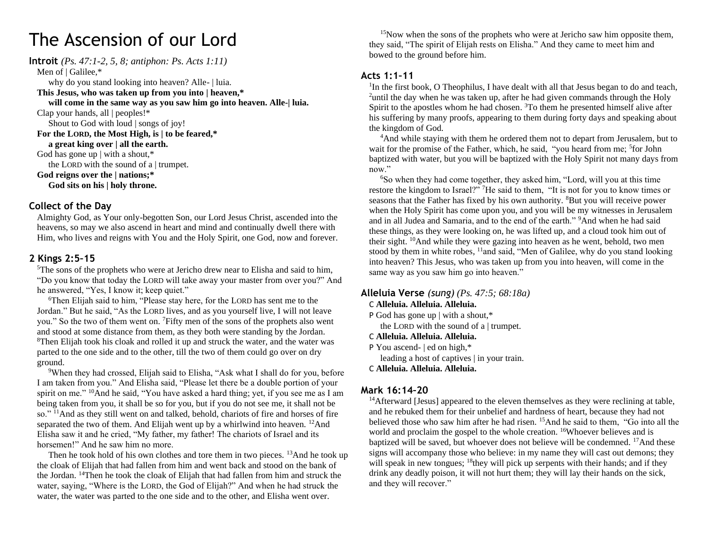# The Ascension of our Lord

**Introit** *(Ps. 47:1-2, 5, 8; antiphon: Ps. Acts 1:11)* Men of | Galilee,\* why do you stand looking into heaven? Alle- | luia. **This Jesus, who was taken up from you into | heaven,\* will come in the same way as you saw him go into heaven. Alle-| luia.** Clap your hands, all | peoples!\* Shout to God with loud | songs of joy! **For the LORD, the Most High, is | to be feared,\* a great king over | all the earth.** God has gone up | with a shout,\* the LORD with the sound of a | trumpet. **God reigns over the | nations;\* God sits on his | holy throne.**

## **Collect of the Day**

Almighty God, as Your only-begotten Son, our Lord Jesus Christ, ascended into the heavens, so may we also ascend in heart and mind and continually dwell there with Him, who lives and reigns with You and the Holy Spirit, one God, now and forever.

## **2 Kings 2:5–15**

<sup>5</sup>The sons of the prophets who were at Jericho drew near to Elisha and said to him, "Do you know that today the LORD will take away your master from over you?" And he answered, "Yes, I know it; keep quiet."

<sup>6</sup>Then Elijah said to him, "Please stay here, for the LORD has sent me to the Jordan." But he said, "As the LORD lives, and as you yourself live, I will not leave you." So the two of them went on. <sup>7</sup>Fifty men of the sons of the prophets also went and stood at some distance from them, as they both were standing by the Jordan. <sup>8</sup>Then Elijah took his cloak and rolled it up and struck the water, and the water was parted to the one side and to the other, till the two of them could go over on dry ground.

<sup>9</sup>When they had crossed, Elijah said to Elisha, "Ask what I shall do for you, before I am taken from you." And Elisha said, "Please let there be a double portion of your spirit on me."  $^{10}$ And he said, "You have asked a hard thing; yet, if you see me as I am being taken from you, it shall be so for you, but if you do not see me, it shall not be so." <sup>11</sup>And as they still went on and talked, behold, chariots of fire and horses of fire separated the two of them. And Elijah went up by a whirlwind into heaven.  $^{12}$ And Elisha saw it and he cried, "My father, my father! The chariots of Israel and its horsemen!" And he saw him no more.

Then he took hold of his own clothes and tore them in two pieces. <sup>13</sup>And he took up the cloak of Elijah that had fallen from him and went back and stood on the bank of the Jordan. <sup>14</sup>Then he took the cloak of Elijah that had fallen from him and struck the water, saying, "Where is the LORD, the God of Elijah?" And when he had struck the water, the water was parted to the one side and to the other, and Elisha went over.

<sup>15</sup>Now when the sons of the prophets who were at Jericho saw him opposite them, they said, "The spirit of Elijah rests on Elisha." And they came to meet him and bowed to the ground before him.

# **Acts 1:1–11**

<sup>1</sup>In the first book, O Theophilus, I have dealt with all that Jesus began to do and teach, <sup>2</sup>until the day when he was taken up, after he had given commands through the Holy Spirit to the apostles whom he had chosen. <sup>3</sup>To them he presented himself alive after his suffering by many proofs, appearing to them during forty days and speaking about the kingdom of God.

<sup>4</sup>And while staying with them he ordered them not to depart from Jerusalem, but to wait for the promise of the Father, which, he said, "you heard from me; <sup>5</sup>for John baptized with water, but you will be baptized with the Holy Spirit not many days from now."

<sup>6</sup>So when they had come together, they asked him, "Lord, will you at this time restore the kingdom to Israel?" <sup>7</sup>He said to them, "It is not for you to know times or seasons that the Father has fixed by his own authority. <sup>8</sup>But you will receive power when the Holy Spirit has come upon you, and you will be my witnesses in Jerusalem and in all Judea and Samaria, and to the end of the earth." <sup>9</sup>And when he had said these things, as they were looking on, he was lifted up, and a cloud took him out of their sight. <sup>10</sup>And while they were gazing into heaven as he went, behold, two men stood by them in white robes, <sup>11</sup>and said, "Men of Galilee, why do you stand looking into heaven? This Jesus, who was taken up from you into heaven, will come in the same way as you saw him go into heaven."

# **Alleluia Verse** *(sung) (Ps. 47:5; 68:18a)*

## C **Alleluia. Alleluia. Alleluia.**

P God has gone up | with a shout,\*

the LORD with the sound of a  $\vert$  trumpet.

## C **Alleluia. Alleluia. Alleluia.**

P You ascend- | ed on high,\*

leading a host of captives | in your train.

C **Alleluia. Alleluia. Alleluia.**

# **Mark 16:14–20**

<sup>14</sup>Afterward [Jesus] appeared to the eleven themselves as they were reclining at table, and he rebuked them for their unbelief and hardness of heart, because they had not believed those who saw him after he had risen. <sup>15</sup>And he said to them, "Go into all the world and proclaim the gospel to the whole creation. <sup>16</sup>Whoever believes and is baptized will be saved, but whoever does not believe will be condemned. <sup>17</sup>And these signs will accompany those who believe: in my name they will cast out demons; they will speak in new tongues;  $^{18}$ they will pick up serpents with their hands; and if they drink any deadly poison, it will not hurt them; they will lay their hands on the sick, and they will recover."